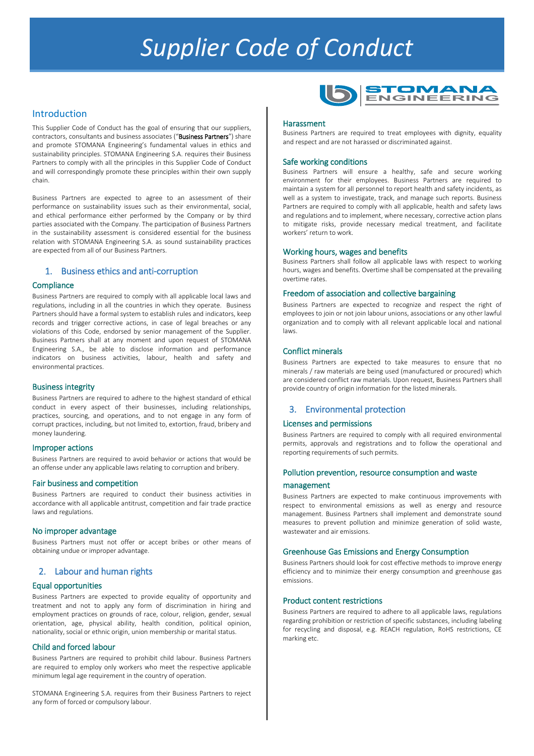# *Supplier Code of Conduct*

#### Introduction

This Supplier Code of Conduct has the goal of ensuring that our suppliers, contractors, consultants and business associates ("Business Partners") share and promote STOMANA Engineering's fundamental values in ethics and sustainability principles. STOMANA Engineering S.A. requires their Business Partners to comply with all the principles in this Supplier Code of Conduct and will correspondingly promote these principles within their own supply chain.

Business Partners are expected to agree to an assessment of their performance on sustainability issues such as their environmental, social, and ethical performance either performed by the Company or by third parties associated with the Company. The participation of Business Partners in the sustainability assessment is considered essential for the business relation with STOMANA Engineering S.A. as sound sustainability practices are expected from all of our Business Partners.

#### 1. Business ethics and anti-corruption

#### **Compliance**

Business Partners are required to comply with all applicable local laws and regulations, including in all the countries in which they operate. Business Partners should have a formal system to establish rules and indicators, keep records and trigger corrective actions, in case of legal breaches or any violations of this Code, endorsed by senior management of the Supplier. Business Partners shall at any moment and upon request of STOMANA Engineering S.A., be able to disclose information and performance indicators on business activities, labour, health and safety and environmental practices.

#### Business integrity

Business Partners are required to adhere to the highest standard of ethical conduct in every aspect of their businesses, including relationships, practices, sourcing, and operations, and to not engage in any form of corrupt practices, including, but not limited to, extortion, fraud, bribery and money laundering.

#### Improper actions

Business Partners are required to avoid behavior or actions that would be an offense under any applicable laws relating to corruption and bribery.

#### Fair business and competition

Business Partners are required to conduct their business activities in accordance with all applicable antitrust, competition and fair trade practice laws and regulations.

#### No improper advantage

Business Partners must not offer or accept bribes or other means of obtaining undue or improper advantage.

#### 2. Labour and human rights

#### Equal opportunities

Business Partners are expected to provide equality of opportunity and treatment and not to apply any form of discrimination in hiring and employment practices on grounds of race, colour, religion, gender, sexual orientation, age, physical ability, health condition, political opinion, nationality, social or ethnic origin, union membership or marital status.

#### Child and forced labour

Business Partners are required to prohibit child labour. Business Partners are required to employ only workers who meet the respective applicable minimum legal age requirement in the country of operation.

STOMANA Engineering S.A. requires from their Business Partners to reject any form of forced or compulsory labour.



#### **Harassment**

Business Partners are required to treat employees with dignity, equality and respect and are not harassed or discriminated against.

#### Safe working conditions

Business Partners will ensure a healthy, safe and secure working environment for their employees. Business Partners are required to maintain a system for all personnel to report health and safety incidents, as well as a system to investigate, track, and manage such reports. Business Partners are required to comply with all applicable, health and safety laws and regulations and to implement, where necessary, corrective action plans to mitigate risks, provide necessary medical treatment, and facilitate workers' return to work.

#### Working hours, wages and benefits

Business Partners shall follow all applicable laws with respect to working hours, wages and benefits. Overtime shall be compensated at the prevailing overtime rates.

#### Freedom of association and collective bargaining

Business Partners are expected to recognize and respect the right of employees to join or not join labour unions, associations or any other lawful organization and to comply with all relevant applicable local and national laws.

#### Conflict minerals

Business Partners are expected to take measures to ensure that no minerals / raw materials are being used (manufactured or procured) which are considered conflict raw materials. Upon request, Business Partners shall provide country of origin information for the listed minerals.

### 3. Environmental protection

#### Licenses and permissions

Business Partners are required to comply with all required environmental permits, approvals and registrations and to follow the operational and reporting requirements of such permits.

#### Pollution prevention, resource consumption and waste management

Business Partners are expected to make continuous improvements with respect to environmental emissions as well as energy and resource management. Business Partners shall implement and demonstrate sound measures to prevent pollution and minimize generation of solid waste, wastewater and air emissions.

#### Greenhouse Gas Emissions and Energy Consumption

Business Partners should look for cost effective methods to improve energy efficiency and to minimize their energy consumption and greenhouse gas emissions.

#### Product content restrictions

Business Partners are required to adhere to all applicable laws, regulations regarding prohibition or restriction of specific substances, including labeling for recycling and disposal, e.g. REACH regulation, RoHS restrictions, CE marking etc.